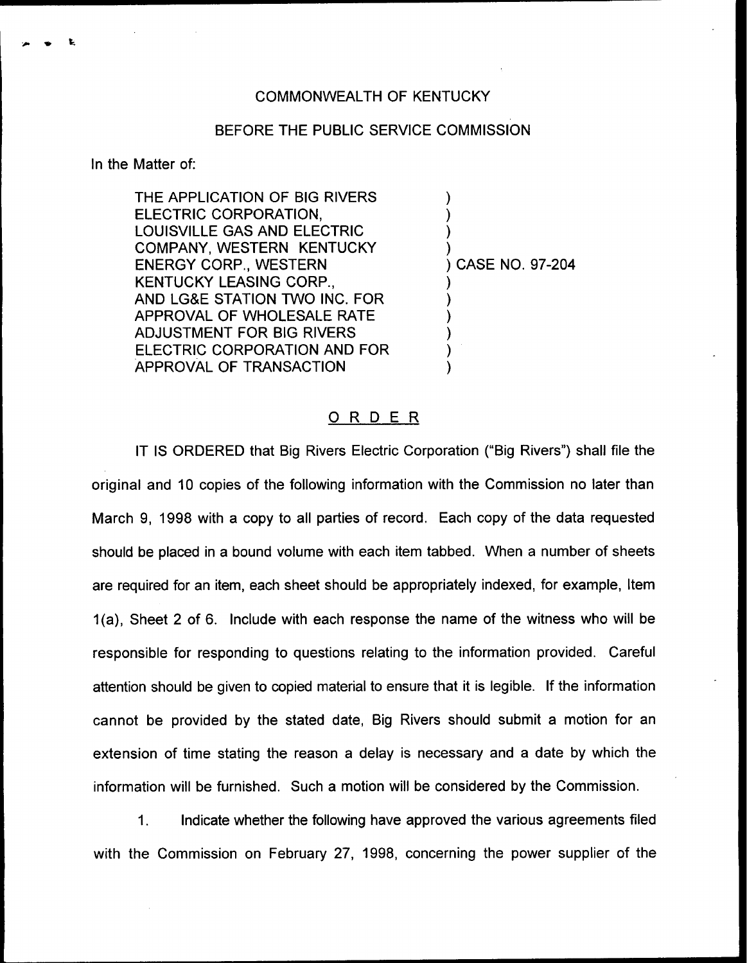## COMMONWEALTH OF KENTUCKY

## BEFORE THE PUBLIC SERVICE COMMISSION

In the Matter of:

THE APPLICATION OF BIG RIVERS ELECTRIC CORPORATION, LOUISVILLE GAS AND ELECTRIC COMPANY, WESTERN KENTUCKY ENERGY CORP., WESTERN KENTUCKY LEASING CORP., AND LG&E STATION TWO INC. FOR APPROVAL OF WHOLESALE RATE ADJUSTMENT FOR BIG RIVERS ELECTRIC CORPORATION AND FOR APPROVAL OF TRANSACTION

) CASE NO. 97-204

) ) ) )

) ) ) ) ) )

## ORDER

IT IS ORDERED that Big Rivers Electric Corporation ("Big Rivers") shall file the original and 10 copies of the following information with the Commission no later than March 9, 1998 with a copy to all parties of record, Each copy of the data requested should be placed in a bound volume with each item tabbed. When a number of sheets are required for an item, each sheet should be appropriately indexed, for example, Item 1(a), Sheet 2 of 6. Include with each response the name of the witness who will be responsible for responding to questions relating to the information provided. Careful attention should be given to copied material to ensure that it is legible. If the information cannot be provided by the stated date, Big Rivers should submit a motion for an extension of time stating the reason a delay is necessary and a date by which the information will be furnished. Such a motion will be considered by the Commission.

 $1.$ Indicate whether the following have approved the various agreements filed with the Commission on February 27, 1998, concerning the power supplier of the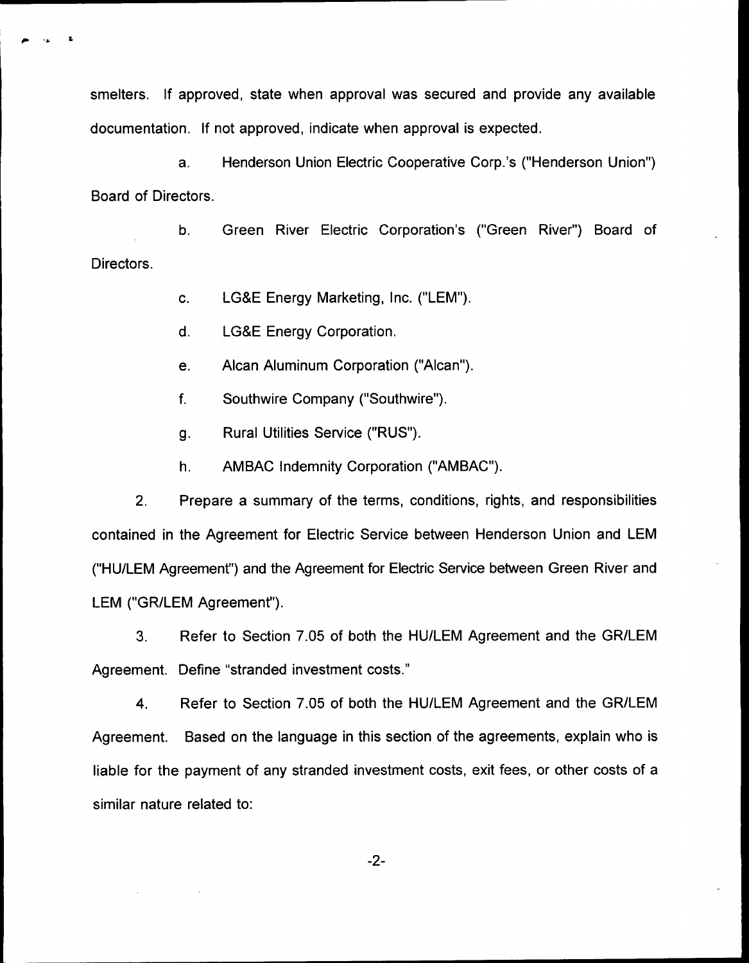smelters. If approved, state when approval was secured and provide any available documentation. If not approved, indicate when approval is expected.

a. Henderson Union Electric Cooperative Corp.'s ("Henderson Union" ) Board of Directors.

b. Green River Electric Corporation's ("Green River") Board of Directors.

c. LG8E Energy Marketing, Inc. ("LEM").

d. LG&E Energy Corporation.

e. Alcan Aluminum Corporation ("Alcan").

 $f_{\cdot}$ Southwire Company ("Southwire").

g. Rural Utilities Service ("RUS").

h. AMBAC Indemnity Corporation ("AMBAC").

2. Prepare a summary of the terms, conditions, rights, and responsibilities contained in the Agreement for Electric Service between Henderson Union and LEM ("HU/LEM Agreement") and the Agreement for Electric Service between Green River and LEM ("GR/LEM Agreement").

3. Refer to Section 7.05 of both the HU/LEM Agreement and the GR/LEM Agreement. Define "stranded investment costs."

4. Refer to Section 7.05 of both the HU/LEM Agreement and the GR/LEM Agreement. Based on the language in this section of the agreements, explain who is liable for the payment of any stranded investment costs, exit fees, or other costs of a similar nature related to:

-2-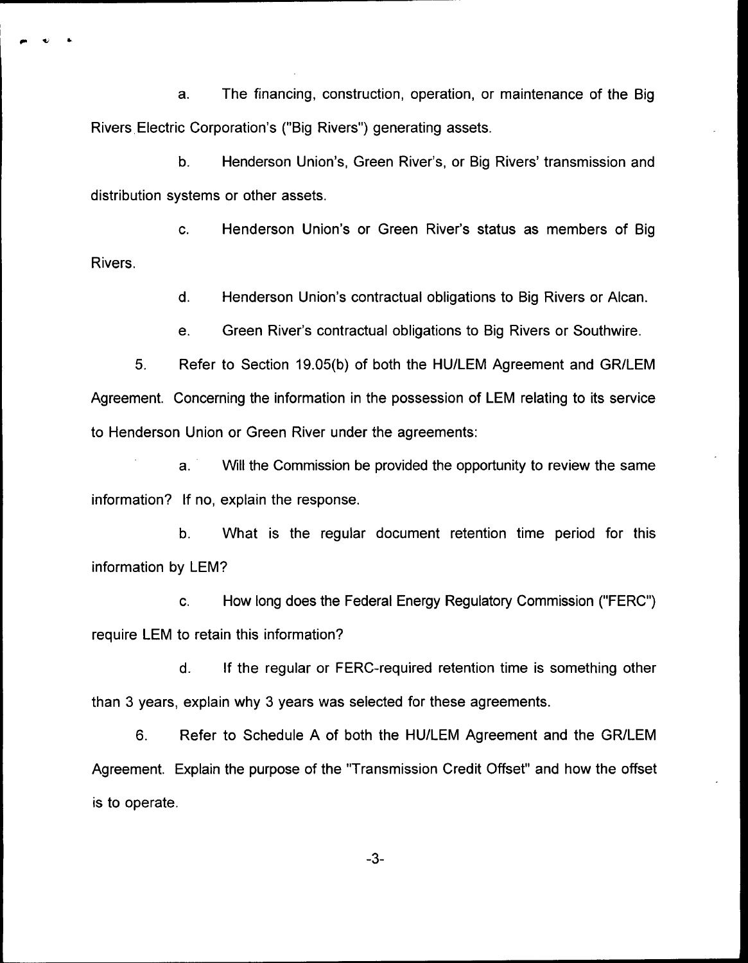a. The financing, construction, operation, or maintenance of the Big Rivers Electric Corporation's ("Big Rivers") generating assets.

b. Henderson Union's, Green River's, or Big Rivers' transmission and distribution systems or other assets.

c. Henderson Union's or Green River's status as members of Big Rivers.

d. Henderson Union's contractual obligations to Big Rivers or Alcan.

e. Green River's contractual obligations to Big Rivers or Southwire.

5. Refer to Section 19.05(b) of both the HU/LEM Agreement and GR/LEM Agreement. Concerning the information in the possession of LEM relating to its service to Henderson Union or Green River under the agreements:

a. Will the Commission be provided the opportunity to review the same information? If no, explain the response.

b. What is the regular document retention time period for this information by LEM?

c. How long does the Federal Energy Regulatory Commission ("FERC") require LEM to retain this information?

d. If the regular or FERC-required retention time is something other than 3 years, explain why 3 years was selected for these agreements.

6. Refer to Schedule A of both the HU/LEM Agreement and the GR/LEM Agreement. Explain the purpose of the "Transmission Credit Offset" and how the offset is to operate.

 $-3-$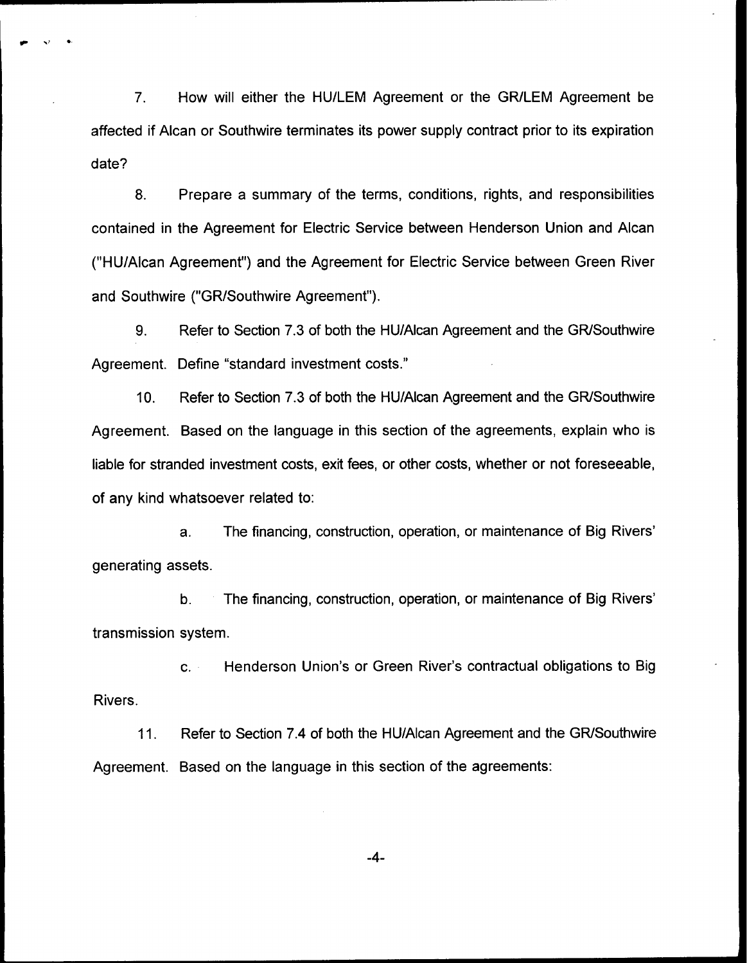7. How will either the HU/LEM Agreement or the GR/LEM Agreement be affected if Alcan or Southwire terminates its power supply contract prior to its expiration date?

8. Prepare a summary of the terms, conditions, rights, and responsibilities contained in the Agreement for Electric Service between Henderson Union and Alcan ("HU/Alcan Agreement") and the Agreement for Electric Service between Green River and Southwire ("GR/Southwire Agreement").

9. Refer to Section 7.3 of both the HU/Alcan Agreement and the GR/Southwire Agreement. Define "standard investment costs."

10. Refer to Section 7.3 of both the HU/Alcan Agreement and the GR/Southwire Agreement. Based on the language in this section of the agreements, explain who is liable for stranded investment costs, exit fees, or other costs, whether or not foreseeable, of any kind whatsoever related to:

a, The financing, construction, operation, or maintenance of Big generating assets.

b. The financing, construction, operation, or maintenance of Big transmission system.

c. Henderson Union's or Green River's contractual obligations to Big Rivers.

11. Refer to Section 7.4 of both the HU/Alcan Agreement and the GR/Southwire Agreement. Based on the language in this section of the agreements:

 $-4-$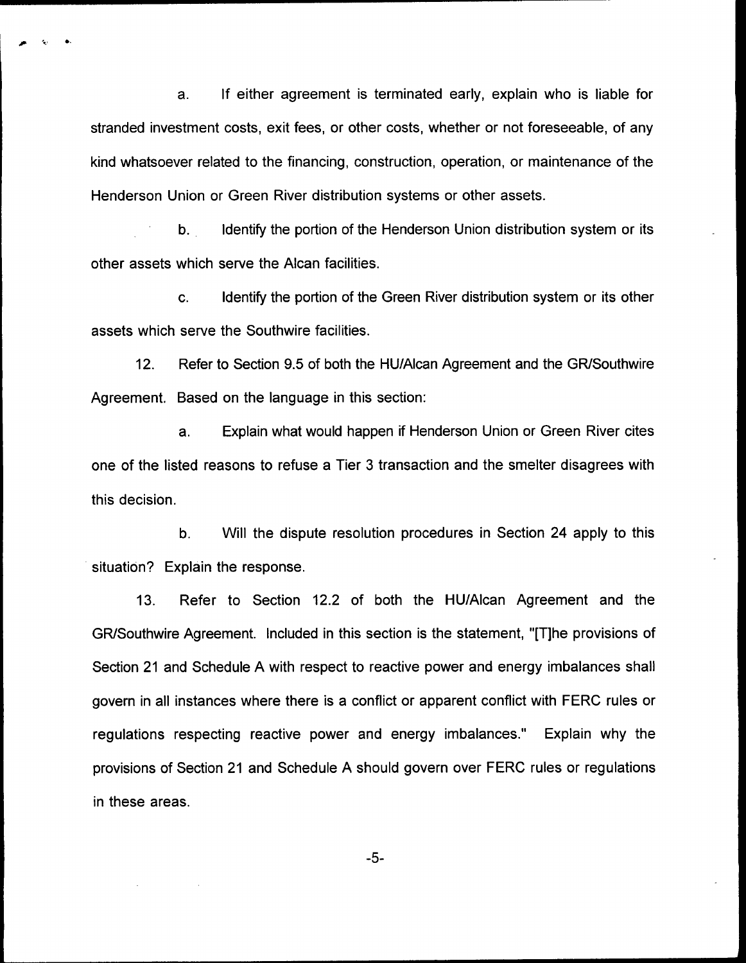a. If either agreement is terminated early, explain who is liable for stranded investment costs, exit fees, or other costs, whether or not foreseeable, of any kind whatsoever related to the financing, construction, operation, or maintenance of the Henderson Union or Green River distribution systems or other assets.

b. Identify the portion of the Henderson Union distribution system or its other assets which serve the Alcan facilities.

c. Identify the portion of the Green River distribution system or its other assets which serve the Southwire facilities.

12. Refer to Section 9.5 of both the HU/Alcan Agreement and the GR/Southwire Agreement. Based on the language in this section:

a. Explain what would happen if Henderson Union or Green River cites one of the listed reasons to refuse a Tier 3 transaction and the smelter disagrees with this decision.

b. Will the dispute resolution procedures in Section 24 apply to this situation? Explain the response.

13. Refer to Section 12.2 of both the HU/Alcan Agreement and the GR/Southwire Agreement. Included in this section is the statement, "[T]he provisions of Section 21 and Schedule A with respect to reactive power and energy imbalances shall govern in all instances where there is a conflict or apparent conflict with FERC rules or regulations respecting reactive power and energy imbalances." Explain why the provisions of Section 21 and Schedule A should govern over FERC rules or regulations in these areas.

-5-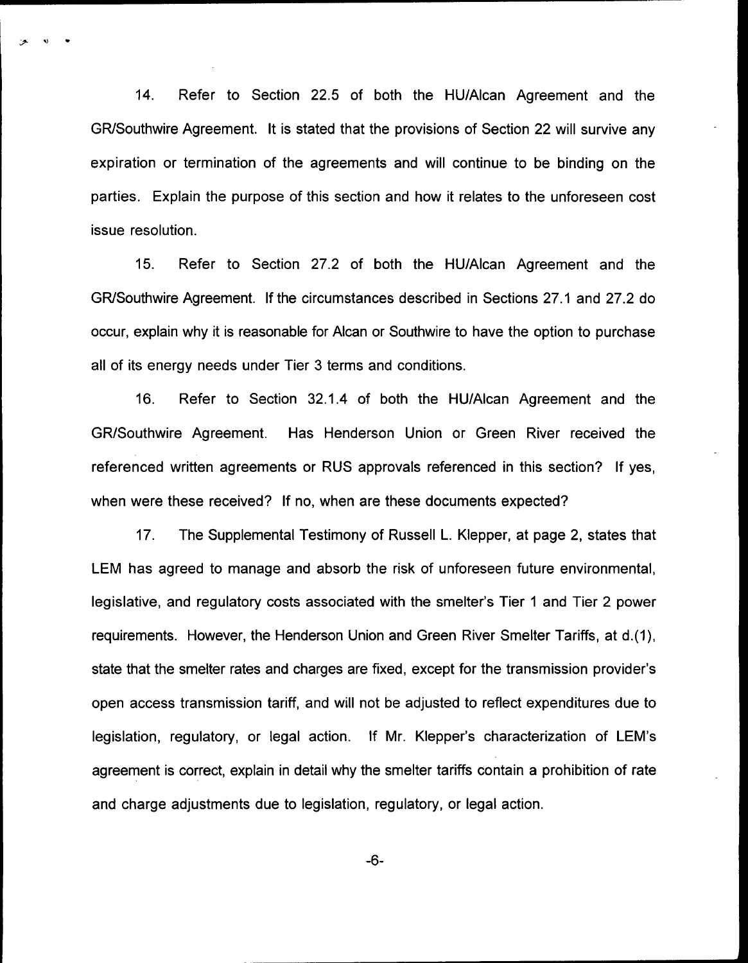14. Refer to Section 22.5 of both the HU/Alcan Agreement and the GR/Southwire Agreement. It is stated that the provisions of Section 22 will survive any expiration or termination of the agreements and will continue to be binding on the parties. Explain the purpose of this section and how it relates to the unforeseen cost issue resolution.

15. Refer to Section 27.2 of both the HU/Alcan Agreement and the GR/Southwire Agreement. If the circumstances described in Sections 27.1 and 27.2 do occur, explain why it is reasonable for Alcan or Southwire to have the option to purchase all of its energy needs under Tier 3 terms and conditions.

16. Refer to Section 32.1.4 of both the HU/Alcan Agreement and the GR/Southwire Agreement. Has Henderson Union or Green River received the referenced written agreements or RUS approvals referenced in this section'? lf yes, when were these received? If no, when are these documents expected?

17. The Supplemental Testimony of Russell L. Klepper, at page 2, states that LEM has agreed to manage and absorb the risk of unforeseen future environmental, legislative, and regulatory costs associated with the smelter's Tier <sup>1</sup> and Tier 2 power requirements. However, the Henderson Union and Green River Smelter Tariffs, at d.(1), state that the smelter rates and charges are fixed, except for the transmission provider's open access transmission tariff, and will not be adjusted to reflect expenditures due to legislation, regulatory, or legal action. If Mr. Klepper's characterization of LEM's agreement is correct, explain in detail why the smelter tariffs contain a prohibition of rate and charge adjustments due to legislation, regulatory, or legal action.

 $-6-$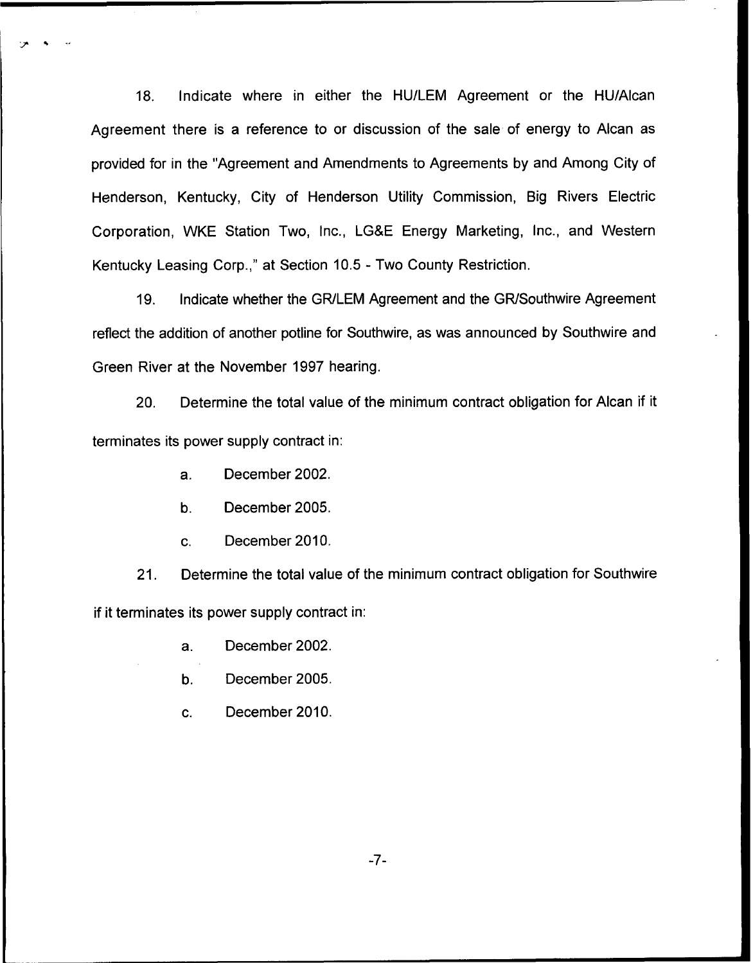18. Indicate where in either the HU/LEM Agreement or the HU/Alcan Agreement there is a reference to or discussion of the sale of energy to Alcan as provided for in the "Agreement and Amendments to Agreements by and Among City of Henderson, Kentucky, City of Henderson Utility Commission, Big Rivers Electric Corporation, WKE Station Two, Inc., LG8E Energy Marketing, Inc., and Western Kentucky Leasing Corp.," at Section 10.5 - Two County Restriction.

19. Indicate whether the GR/LEM Agreement and the GR/Southwire Agreement reflect the addition of another potline for Southwire, as was announced by Southwire and Green River at the November 1997 hearing.

20. Determine the total value of the minimum contract obligation for Alcan if it terminates its power supply contract in:

- a. December 2002.
- b. December 2005.
- c. December 2010.

21. Determine the total value of the minimum contract obligation for Southwire if it terminates its power supply contract in:

- a. December 2002.
- b. December 2005.
- c. December 2010.